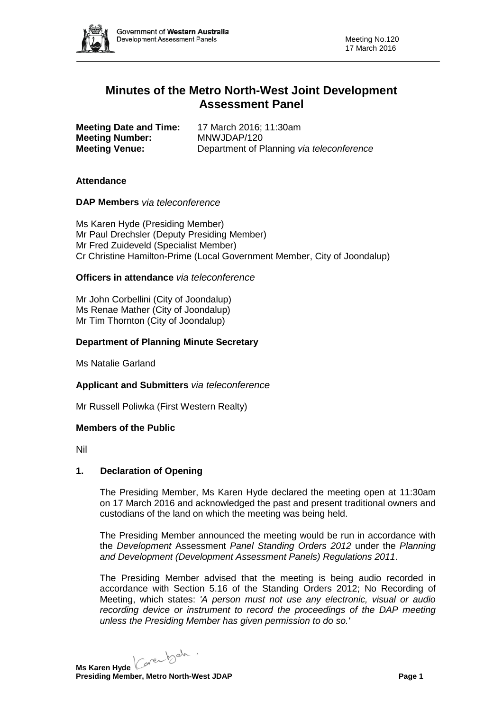

# **Minutes of the Metro North-West Joint Development Assessment Panel**

| <b>Meeting Date and Time:</b> | 17 March 2016; 11:30am                    |
|-------------------------------|-------------------------------------------|
| <b>Meeting Number:</b>        | MNWJDAP/120                               |
| <b>Meeting Venue:</b>         | Department of Planning via teleconference |

## **Attendance**

**DAP Members** *via teleconference*

Ms Karen Hyde (Presiding Member) Mr Paul Drechsler (Deputy Presiding Member) Mr Fred Zuideveld (Specialist Member) Cr Christine Hamilton-Prime (Local Government Member, City of Joondalup)

## **Officers in attendance** *via teleconference*

Mr John Corbellini (City of Joondalup) Ms Renae Mather (City of Joondalup) Mr Tim Thornton (City of Joondalup)

## **Department of Planning Minute Secretary**

Ms Natalie Garland

#### **Applicant and Submitters** *via teleconference*

Mr Russell Poliwka (First Western Realty)

#### **Members of the Public**

Nil

#### **1. Declaration of Opening**

The Presiding Member, Ms Karen Hyde declared the meeting open at 11:30am on 17 March 2016 and acknowledged the past and present traditional owners and custodians of the land on which the meeting was being held.

The Presiding Member announced the meeting would be run in accordance with the *Development* Assessment *Panel Standing Orders 2012* under the *Planning and Development (Development Assessment Panels) Regulations 2011*.

The Presiding Member advised that the meeting is being audio recorded in accordance with Section 5.16 of the Standing Orders 2012; No Recording of Meeting, which states: *'A person must not use any electronic, visual or audio recording device or instrument to record the proceedings of the DAP meeting unless the Presiding Member has given permission to do so.'*

Ms Karen Hyde Caren beh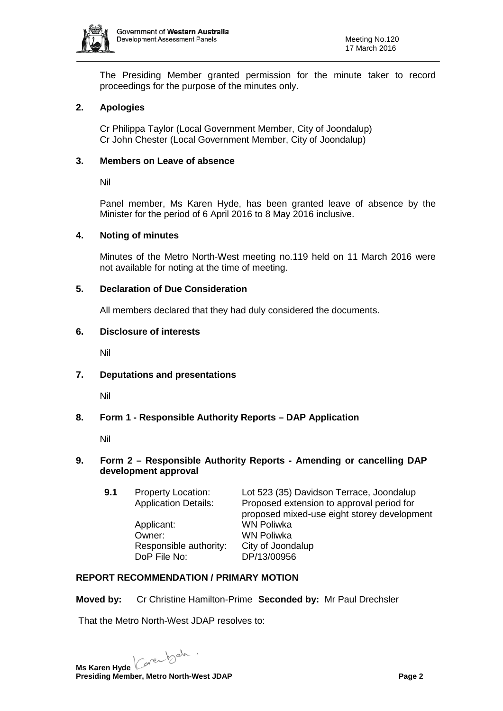

The Presiding Member granted permission for the minute taker to record proceedings for the purpose of the minutes only.

# **2. Apologies**

Cr Philippa Taylor (Local Government Member, City of Joondalup) Cr John Chester (Local Government Member, City of Joondalup)

## **3. Members on Leave of absence**

Nil

Panel member, Ms Karen Hyde, has been granted leave of absence by the Minister for the period of 6 April 2016 to 8 May 2016 inclusive.

## **4. Noting of minutes**

Minutes of the Metro North-West meeting no.119 held on 11 March 2016 were not available for noting at the time of meeting.

## **5. Declaration of Due Consideration**

All members declared that they had duly considered the documents.

## **6. Disclosure of interests**

Nil

# **7. Deputations and presentations**

Nil

# **8. Form 1 - Responsible Authority Reports – DAP Application**

Nil

## **9. Form 2 – Responsible Authority Reports - Amending or cancelling DAP development approval**

**9.1** Property Location: Lot 523 (35) Davidson Terrace, Joondalup Application Details: Proposed extension to approval period for Proposed extension to approval period for proposed mixed-use eight storey development Applicant: WN Poliwka Owner: WN Poliwka Responsible authority: City of Joondalup DoP File No: DP/13/00956

# **REPORT RECOMMENDATION / PRIMARY MOTION**

**Moved by:** Cr Christine Hamilton-Prime **Seconded by:** Mr Paul Drechsler

That the Metro North-West JDAP resolves to:

Ms Karen Hyde Caren beh . **Presiding Member, Metro North-West JDAP Page 2 Page 2**